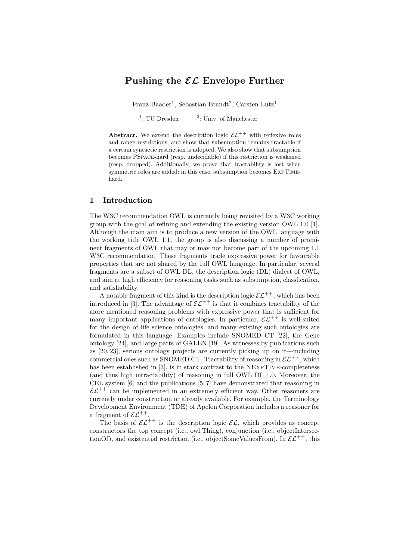## Pushing the  $\mathcal{EL}$  Envelope Further

Franz Baader<sup>1</sup>, Sebastian Brandt<sup>2</sup>, Carsten Lutz<sup>1</sup>

 $\cdot^1$ : TU Dresden  $\cdot$ 2 : Univ. of Manchester

Abstract. We extend the description logic  $\mathcal{EL}^{++}$  with reflexive roles and range restrictions, and show that subsumption remains tractable if a certain syntactic restriction is adopted. We also show that subsumption becomes PSpace-hard (resp. undecidable) if this restriction is weakened (resp. dropped). Additionally, we prove that tractability is lost when symmetric roles are added: in this case, subsumption becomes ExpTimehard.

## 1 Introduction

The W3C recommendation OWL is currently being revisited by a W3C working group with the goal of refining and extending the existing version OWL 1.0 [1]. Although the main aim is to produce a new version of the OWL language with the working title OWL 1.1, the group is also discussing a number of prominent fragments of OWL that may or may not become part of the upcoming 1.1 W3C recommendation. These fragments trade expressive power for favourable properties that are not shared by the full OWL language. In particular, several fragments are a subset of OWL DL, the description logic (DL) dialect of OWL, and aim at high efficiency for reasoning tasks such as subsumption, classfication, and satisfiability.

A notable fragment of this kind is the description logic  $\mathcal{EL}^{++}$ , which has been introduced in [3]. The advantage of  $\mathcal{EL}^{++}$  is that it combines tractability of the afore mentioned reasoning problems with expressive power that is sufficient for many important applications of ontologies. In particular,  $\mathcal{EL}^{++}$  is well-suited for the design of life science ontologies, and many existing such ontologies are formulated in this language. Examples include SNOMED CT [22], the Gene ontology [24], and large parts of GALEN [19]. As witnesses by publications such as [20, 23], serious ontology projects are currently picking up on it—including commercial ones such as SNOMED CT. Tractability of reasoning in  $\mathcal{EL}^{++}$ , which has been established in [3], is in stark contrast to the NEXPTIME-completeness (and thus high intractability) of reasoning in full OWL DL 1.0. Moreover, the CEL system [6] and the publications [5, 7] have demonstrated that reasoning in  $\mathcal{EL}^{++}$  can be implemented in an extremely efficient way. Other reasoners are currently under construction or already available. For example, the Terminology Development Environment (TDE) of Apelon Corporation includes a reasoner for a fragment of  $\mathcal{EL}^{++}$ .

The basis of  $\mathcal{EL}^{++}$  is the description logic  $\mathcal{EL}$ , which provides as concept constructors the top concept (i.e., owl:Thing), conjunction (i.e., objectIntersectionOf), and existential restriction (i.e., objectSomeValuesFrom). In  $\mathcal{EL}^{++}$ , this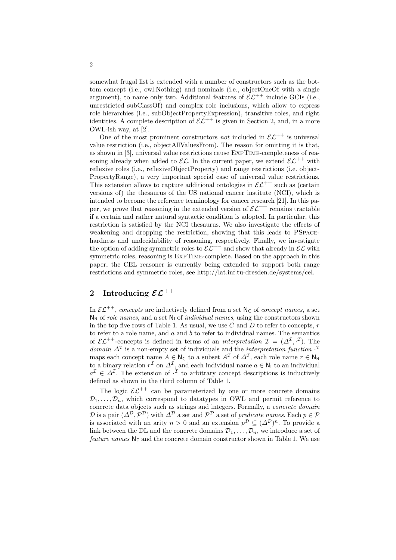somewhat frugal list is extended with a number of constructors such as the bottom concept (i.e., owl:Nothing) and nominals (i.e., objectOneOf with a single argument), to name only two. Additional features of  $\mathcal{EL}^{++}$  include GCIs (i.e., unrestricted subClassOf) and complex role inclusions, which allow to express role hierarchies (i.e., subObjectPropertyExpression), transitive roles, and right identities. A complete description of  $\mathcal{EL}^{++}$  is given in Section 2, and, in a more OWL-ish way, at [2].

One of the most prominent constructors not included in  $\mathcal{EL}^{++}$  is universal value restriction (i.e., objectAllValuesFrom). The reason for omitting it is that, as shown in [3], universal value restrictions cause ExpTime-completeness of reasoning already when added to  $\mathcal{EL}$ . In the current paper, we extend  $\mathcal{EL}^{++}$  with reflexive roles (i.e., reflexiveObjectProperty) and range restrictions (i.e. object-PropertyRange), a very important special case of universal value restrictions. This extension allows to capture additional ontologies in  $\mathcal{EL}^{++}$  such as (certain versions of) the thesaurus of the US national cancer institute (NCI), which is intended to become the reference terminology for cancer research [21]. In this paper, we prove that reasoning in the extended version of  $\mathcal{EL}^{++}$  remains tractable if a certain and rather natural syntactic condition is adopted. In particular, this restriction is satisfied by the NCI thesaurus. We also investigate the effects of weakening and dropping the restriction, showing that this leads to PSpacehardness and undecidability of reasoning, respectively. Finally, we investigate the option of adding symmetric roles to  $\mathcal{EL}^{++}$  and show that already in  $\mathcal{EL}$  with symmetric roles, reasoning is EXPTIME-complete. Based on the approach in this paper, the CEL reasoner is currently being extended to support both range restrictions and symmetric roles, see http://lat.inf.tu-dresden.de/systems/cel.

# 2 Introducing  $\mathcal{EL}^{++}$

In  $\mathcal{EL}^{++}$ , concepts are inductively defined from a set  $\mathsf{N}_{\mathsf{C}}$  of concept names, a set  $N_R$  of *role names*, and a set  $N_L$  of *individual names*, using the constructors shown in the top five rows of Table 1. As usual, we use  $C$  and  $D$  to refer to concepts,  $r$ to refer to a role name, and  $a$  and  $b$  to refer to individual names. The semantics of  $\mathcal{EL}^{++}$ -concepts is defined in terms of an *interpretation*  $\mathcal{I} = (\Delta^{\mathcal{I}}, \cdot^{\mathcal{I}})$ . The domain  $\Delta^{\mathcal{I}}$  is a non-empty set of individuals and the *interpretation function*  $\cdot^{\mathcal{I}}$ maps each concept name  $A \in \mathsf{N}_{\mathsf{C}}$  to a subset  $A^{\mathcal{I}}$  of  $\Delta^{\mathcal{I}}$ , each role name  $r \in \mathsf{N}_{\mathsf{R}}$ to a binary relation  $r^{\mathcal{I}}$  on  $\Delta^{\mathcal{I}}$ , and each individual name  $a \in \mathsf{N}_{\mathsf{I}}$  to an individual  $a^{\mathcal{I}} \in \Delta^{\mathcal{I}}$ . The extension of  $\cdot^{\mathcal{I}}$  to arbitrary concept descriptions is inductively defined as shown in the third column of Table 1.

The logic  $\mathcal{EL}^{++}$  can be parameterized by one or more concrete domains  $\mathcal{D}_1, \ldots, \mathcal{D}_n$ , which correspond to datatypes in OWL and permit reference to concrete data objects such as strings and integers. Formally, a concrete domain  $\mathcal D$  is a pair  $(\varDelta^{\mathcal D},\mathcal P^{\mathcal D})$  with  $\varDelta^{\mathcal D}$  a set and  $\mathcal P^{\mathcal D}$  a set of predicate names. Each  $p\in\mathcal P$ is associated with an arity  $n > 0$  and an extension  $p^{\mathcal{D}} \subseteq (\Delta^{\mathcal{D}})^n$ . To provide a link between the DL and the concrete domains  $\mathcal{D}_1, \ldots, \mathcal{D}_n$ , we introduce a set of feature names  $N_F$  and the concrete domain constructor shown in Table 1. We use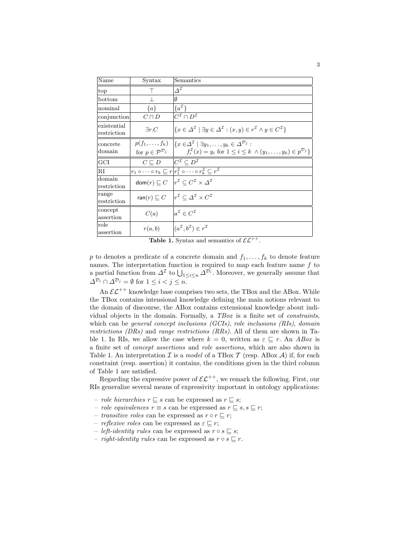| Name                       | Syntax                                                        | Semantics                                                                                                                                                                                                             |
|----------------------------|---------------------------------------------------------------|-----------------------------------------------------------------------------------------------------------------------------------------------------------------------------------------------------------------------|
| top                        | Τ                                                             | $\Delta^{\mathcal{I}}$                                                                                                                                                                                                |
| bottom                     | $\perp$                                                       | Ø                                                                                                                                                                                                                     |
| nominal                    | $\{a\}$                                                       | $\{a^{\mathcal{I}}\}$                                                                                                                                                                                                 |
| conjunction                | $C\sqcap D$                                                   | $\overline{C}^{\mathcal{I}}\cap D^{\mathcal{I}}$                                                                                                                                                                      |
| existential<br>restriction | $\exists r.C$                                                 | $\{x \in \Delta^{\mathcal{I}} \mid \exists y \in \Delta^{\mathcal{I}} : (x, y) \in r^{\mathcal{I}} \wedge y \in C^{\mathcal{I}}\}\$                                                                                   |
| concrete<br>domain         | for $p \in \mathcal{P}^{\mathcal{D}_j}$                       | $p(f_1,\ldots,f_k)$ $\big \{x\in\Delta^{\mathcal{I}}\mid\exists y_1,\ldots,y_k\in\Delta^{\mathcal{D}_j}:\right.$<br>$f_i^{\mathcal{I}}(x) = y_i$ for $1 \leq i \leq k \land (y_1, \ldots, y_k) \in p^{\mathcal{D}_j}$ |
| GCI                        | $C \sqsubseteq D$ $C^{\mathcal{I}} \subseteq D^{\mathcal{I}}$ |                                                                                                                                                                                                                       |
| RI                         |                                                               | $r_1 \circ \cdots \circ r_k \sqsubseteq r r_1^{\mathcal{I}} \circ \cdots \circ r_k^{\mathcal{I}} \subset r^{\mathcal{I}}$                                                                                             |
| domain<br>restriction      |                                                               | dom $(r) \sqsubseteq C \mid r^{\mathcal{I}} \subset C^{\mathcal{I}} \times \Delta^{\mathcal{I}}$                                                                                                                      |
| range<br>restriction       |                                                               | ran $(r) \sqsubseteq C$ $ r^{\mathcal{I}} \subset \Delta^{\mathcal{I}} \times C^{\mathcal{I}}$                                                                                                                        |
| concept<br>assertion       | C(a)                                                          | $a^{\mathcal{I}} \in C^{\mathcal{I}}$                                                                                                                                                                                 |
| role<br>assertion          | r(a,b)                                                        | $(a^{\mathcal{I}}, b^{\mathcal{I}}) \in r^{\mathcal{I}}$                                                                                                                                                              |

**Table 1.** Syntax and semantics of  $\mathcal{EL}^{++}$ .

 $p$  to denotes a predicate of a concrete domain and  $f_1, \ldots, f_k$  to denote feature names. The interpretation function is required to map each feature name  $f$  to a partial function from  $\Delta^{\mathcal{I}}$  to  $\bigcup_{1 \leq i \leq n} \Delta^{\mathcal{D}_i}$ . Moreover, we generally assume that  $\Delta^{\mathcal{D}_i} \cap \Delta^{\mathcal{D}_j} = \emptyset$  for  $1 \leq i < j \leq n$ .

An  $\mathcal{EL}^{++}$  knowledge base comprises two sets, the TBox and the ABox. While the TBox contains intensional knowledge defining the main notions relevant to the domain of discourse, the ABox contains extensional knowledge about individual objects in the domain. Formally, a TBox is a finite set of constraints, which can be general concept inclusions (GCIs), role inclusions (RIs), domain restrictions (DRs) and range restrictions (RRs). All of them are shown in Table 1. In RIs, we allow the case where  $k = 0$ , written as  $\varepsilon \sqsubseteq r$ . An ABox is a finite set of concept assertions and role assertions, which are also shown in Table 1. An interpretation  $\mathcal I$  is a model of a TBox  $\mathcal T$  (resp. ABox  $\mathcal A$ ) if, for each constraint (resp. assertion) it contains, the conditions given in the third column of Table 1 are satisfied.

Regarding the expressive power of  $\mathcal{EL}^{++}$ , we remark the following. First, our RIs generalize several means of expressivity important in ontology applications:

- *role hierarchies*  $r \sqsubseteq s$  can be expressed as  $r \sqsubseteq s$ ;
- *role equivalences*  $r \equiv s$  can be expressed as  $r \subseteq s, s \subseteq r$ ;
- transitive roles can be expressed as  $r \circ r \sqsubseteq r$ ;
- *reflexive roles* can be expressed as  $\varepsilon \sqsubseteq r$ ;
- *left-identity rules* can be expressed as  $r \circ s \subseteq s$ ;
- *right-identity rules* can be expressed as  $r \circ s \sqsubseteq r$ .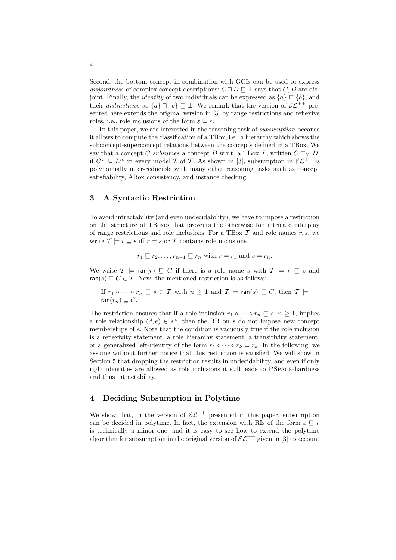Second, the bottom concept in combination with GCIs can be used to express disjointness of complex concept descriptions:  $C \sqcap D \sqsubseteq \bot$  says that  $C, D$  are disjoint. Finally, the *identity* of two individuals can be expressed as  $\{a\} \subseteq \{b\}$ , and their distinctness as  $\{a\} \sqcap \{b\} \sqsubseteq \bot$ . We remark that the version of  $\mathcal{EL}^{++}$  presented here extends the original version in [3] by range restrictions and reflexive roles, i.e., role inclusions of the form  $\varepsilon \sqsubset r$ .

In this paper, we are interested in the reasoning task of subsumption because it allows to compute the classification of a TBox, i.e., a hierarchy which shows the subconcept-superconcept relations between the concepts defined in a TBox. We say that a concept C subsumes a concept D w.r.t. a TBox T, written  $C \sqsubseteq_{\mathcal{T}} D$ , if  $C^{\mathcal{I}} \subseteq D^{\mathcal{I}}$  in every model  $\mathcal I$  of  $\mathcal T$ . As shown in [3], subsumption in  $\mathcal{EL}^{++}$  is polynomially inter-reducible with many other reasoning tasks such as concept satisfiability, ABox consistency, and instance checking.

## 3 A Syntactic Restriction

To avoid intractability (and even undecidability), we have to impose a restriction on the structure of TBoxes that prevents the otherwise too intricate interplay of range restrictions and role inclusions. For a TBox  $\mathcal T$  and role names  $r, s$ , we write  $\mathcal{T} \models r \sqsubseteq s$  iff  $r = s$  or  $\mathcal T$  contains role inclusions

$$
r_1 \sqsubseteq r_2, \ldots, r_{n-1} \sqsubseteq r_n
$$
 with  $r = r_1$  and  $s = r_n$ .

We write  $\mathcal{T} \models \text{ran}(r) \sqsubseteq C$  if there is a role name s with  $\mathcal{T} \models r \sqsubseteq s$  and ran(s)  $\subseteq$  C  $\in$  T. Now, the mentioned restriction is as follows:

If 
$$
r_1 \circ \cdots \circ r_n \sqsubseteq s \in \mathcal{T}
$$
 with  $n \geq 1$  and  $\mathcal{T} \models \text{ran}(s) \sqsubseteq C$ , then  $\mathcal{T} \models$   
ran $(r_n) \sqsubseteq C$ .

The restriction ensures that if a role inclusion  $r_1 \circ \cdots \circ r_n \subseteq s, n \geq 1$ , implies a role relationship  $(d, e) \in s^{\mathcal{I}}$ , then the RR on s do not impose new concept memberships of e. Note that the condition is vacuously true if the role inclusion is a reflexivity statement, a role hierarchy statement, a transitivity statement, or a generalized left-identity of the form  $r_1 \circ \cdots \circ r_k \sqsubseteq r_k$ . In the following, we assume without further notice that this restriction is satisfied. We will show in Section 5 that dropping the restriction results in undecidability, and even if only right identities are allowed as role inclusions it still leads to PSpace-hardness and thus intractability.

## 4 Deciding Subsumption in Polytime

We show that, in the version of  $\mathcal{EL}^{++}$  presented in this paper, subsumption can be decided in polytime. In fact, the extension with RIs of the form  $\varepsilon \sqsubset r$ is technically a minor one, and it is easy to see how to extend the polytime algorithm for subsumption in the original version of  $\mathcal{EL}^{++}$  given in [3] to account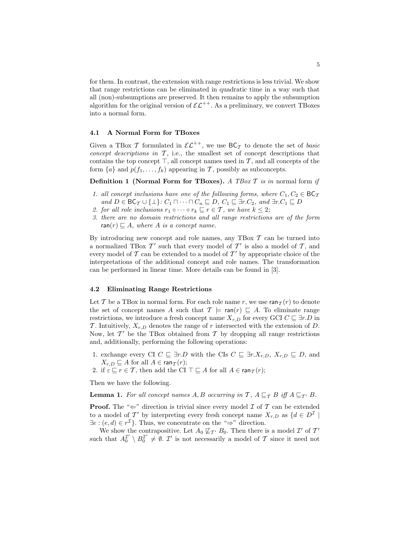for them. In contrast, the extension with range restrictions is less trivial. We show that range restrictions can be eliminated in quadratic time in a way such that all (non)-subsumptions are preserved. It then remains to apply the subsumption algorithm for the original version of  $\mathcal{EL}^{++}$ . As a preliminary, we convert TBoxes into a normal form.

### 4.1 A Normal Form for TBoxes

Given a TBox T formulated in  $\mathcal{EL}^{++}$ , we use  $\mathsf{BC}_{\mathcal{I}}$  to denote the set of basic concept descriptions in  $\mathcal{T}$ , i.e., the smallest set of concept descriptions that contains the top concept  $\top$ , all concept names used in  $\mathcal T$ , and all concepts of the form  $\{a\}$  and  $p(f_1, \ldots, f_k)$  appearing in T, possibly as subconcepts.

**Definition 1 (Normal Form for TBoxes).** A TBox  $\mathcal T$  is in normal form if

- 1. all concept inclusions have one of the following forms, where  $C_1, C_2 \in BC_{\mathcal{T}}$ and  $D \in \mathsf{BC}_{\mathcal{I}} \cup \{\bot\}$ :  $C_1 \sqcap \cdots \sqcap C_n \sqsubseteq D$ ,  $C_1 \sqsubseteq \exists r.C_2$ , and  $\exists r.C_1 \sqsubseteq D$
- 2. for all role inclusions  $r_1 \circ \cdots \circ r_k \sqsubseteq r \in \mathcal{T}$ , we have  $k \leq 2$ ;
- 3. there are no domain restrictions and all range restrictions are of the form ran(r)  $\Box A$ , where A is a concept name.

By introducing new concept and role names, any TBox  $\mathcal T$  can be turned into a normalized TBox  $\mathcal{T}'$  such that every model of  $\mathcal{T}'$  is also a model of  $\mathcal{T}$ , and every model of  $T$  can be extended to a model of  $T'$  by appropriate choice of the interpretations of the additional concept and role names. The transformation can be performed in linear time. More details can be found in [3].

#### 4.2 Eliminating Range Restrictions

Let T be a TBox in normal form. For each role name r, we use  $\text{ran}_{\mathcal{T}}(r)$  to denote the set of concept names A such that  $\mathcal{T} \models \text{ran}(r) \sqsubseteq A$ . To eliminate range restrictions, we introduce a fresh concept name  $X_{r,D}$  for every GCI  $C \subseteq \exists r.D$  in T. Intuitively,  $X_{r,D}$  denotes the range of r intersected with the extension of D. Now, let  $\mathcal{T}'$  be the TBox obtained from  $\mathcal T$  by dropping all range restrictions and, additionally, performing the following operations:

- 1. exchange every CI  $C \subseteq \exists r.D$  with the CIs  $C \subseteq \exists r.X_{r,D}, X_{r,D} \subseteq D$ , and  $X_{r,D} \sqsubseteq A$  for all  $A \in \text{ran}_{\mathcal{T}} (r);$
- 2. if  $\varepsilon \sqsubseteq r \in \mathcal{T}$ , then add the CI  $\top \sqsubseteq A$  for all  $A \in \text{ran}_{\mathcal{T}}(r)$ ;

Then we have the following.

**Lemma 1.** For all concept names A, B occurring in T,  $A \sqsubset_{\mathcal{T}} B$  iff  $A \sqsubset_{\mathcal{T}} B$ .

**Proof.** The " $\Leftarrow$ " direction is trivial since every model  $\mathcal{I}$  of  $\mathcal{T}$  can be extended to a model of  $\mathcal{T}'$  by interpreting every fresh concept name  $X_{r,D}$  as  $\{d \in D^{\mathcal{I}}\mid$  $\exists e : (e, d) \in r^{\mathcal{I}}$ . Thus, we concentrate on the " $\Rightarrow$ " direction.

We show the contrapositive. Let  $A_0 \not\sqsubseteq_{\mathcal{T}} B_0$ . Then there is a model  $\mathcal{I}'$  of  $\mathcal{T}'$ such that  $A_0^{\mathcal{I}'} \setminus B_0^{\mathcal{I}'} \neq \emptyset$ .  $\mathcal{I}'$  is not necessarily a model of  $\mathcal{T}$  since it need not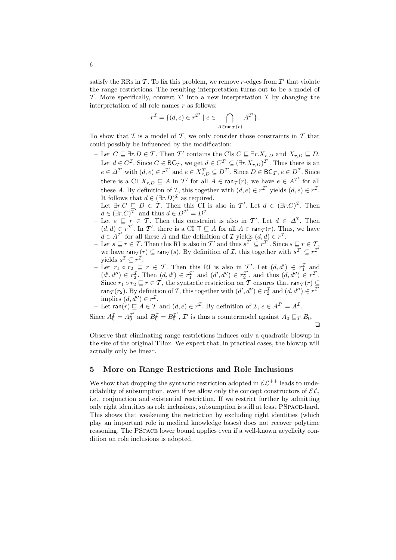satisfy the RRs in T. To fix this problem, we remove r-edges from  $\mathcal{I}'$  that violate the range restrictions. The resulting interpretation turns out to be a model of T. More specifically, convert  $\mathcal{I}'$  into a new interpretation  $\mathcal{I}$  by changing the interpretation of all role names  $r$  as follows:

$$
r^{\mathcal{I}} = \{(d,e) \in r^{\mathcal{I}'} \mid e \in \bigcap_{A \in \text{ran}_{\mathcal{T}}(r)} A^{\mathcal{I}'}\}.
$$

To show that  $\mathcal I$  is a model of  $\mathcal T$ , we only consider those constraints in  $\mathcal T$  that could possibly be influenced by the modification:

- Let  $C \subseteq \exists r.D \in \mathcal{T}$ . Then  $\mathcal{T}'$  contains the CIs  $C \subseteq \exists r.X_{r,D}$  and  $X_{r,D} \subseteq D$ . Let  $d \in C^{\mathcal{I}}$ . Since  $C \in BC_{\mathcal{T}}$ , we get  $d \in C^{\mathcal{I}'} \subseteq (\exists r.X_{r,D})^{\mathcal{I}'}$ . Thus there is an  $e \in \Delta^{\mathcal{I}'}$  with  $(d, e) \in r^{\mathcal{I}'}$  and  $e \in X_{r,D}^{\mathcal{I}'} \subseteq D^{\mathcal{I}'}.$  Since  $D \in BC_{\mathcal{T}}, e \in D^{\mathcal{I}}.$  Since there is a CI  $X_{r,D} \sqsubseteq A$  in T' for all  $A \in \text{ran}_{\mathcal{T}}(r)$ , we have  $e \in A^{\mathcal{T}}$  for all these A. By definition of *I*, this together with  $(d, e) \in r^{\mathcal{I}}$  yields  $(d, e) \in r^{\mathcal{I}}$ . It follows that  $d \in (\exists r.D)^{\mathcal{I}}$  as required.
- Let  $\exists r.C \sqsubseteq D \in \mathcal{T}$ . Then this CI is also in T'. Let  $d \in (\exists r.C)^{\mathcal{I}}$ . Then  $d \in (\exists r.C)^{\overline{\mathcal{I}}'}$  and thus  $d \in D^{\mathcal{I}'} = D^{\mathcal{I}}$ .
- Let  $\varepsilon \subseteq r \in \mathcal{T}$ . Then this constraint is also in  $\mathcal{T}'$ . Let  $d \in \Delta^{\mathcal{I}}$ . Then  $(d, d) \in r^{\mathcal{I}}$ . In  $\mathcal{T}'$ , there is a CI  $\top \sqsubseteq A$  for all  $A \in \text{ran}_{\mathcal{I}}(r)$ . Thus, we have  $d \in A^{\mathcal{I}'}$  for all these A and the definition of  $\mathcal{I}$  yields  $(d, d) \in r^{\mathcal{I}}$ .
- Let  $s \sqsubseteq r \in \mathcal{T}$ . Then this RI is also in  $\mathcal{T}'$  and thus  $s^{\mathcal{T}'} \subseteq r^{\mathcal{T}}$ . Since  $s \sqsubseteq r \in \mathcal{T}$ , we have  $\text{ran}_{\mathcal{T}}(r) \subseteq \text{ran}_{\mathcal{T}}(s)$ . By definition of  $\mathcal{T}$ , this together with  $s^{\mathcal{T}'} \subseteq r^{\mathcal{T}'}$ yields  $s^{\mathcal{I}} \subseteq r^{\mathcal{I}}$ .
- Let  $r_1 \circ r_2$  ⊑  $r \in \mathcal{T}$ . Then this RI is also in  $\mathcal{T}'$ . Let  $(d, d') \in r_1^{\mathcal{T}}$  and  $(d', d'') \in r_2^{\mathcal{I}}$ . Then  $(d, d') \in r_1^{\mathcal{I}'}$  and  $(d', d'') \in r_2^{\mathcal{I}'}$  $\mathcal{I}'_2$ , and thus  $(d, d'') \in r^{\mathcal{I}'}$ . Since  $r_1 \circ r_2 \sqsubseteq r \in \mathcal{T}$ , the syntactic restriction on  $\mathcal{T}$  ensures that  $\text{ran}_{\mathcal{T}}(r) \subseteq$ ran $\tau(r_2)$ . By definition of *I*, this together with  $(d', d'') \in r_2^{\mathcal{I}}$  and  $(d, d'') \in r^{\overline{\mathcal{I}}'}$ implies  $(d, d'') \in r^{\mathcal{I}}$ .
- Let ran(r)  $\subseteq A \in \mathcal{T}$  and  $(d, e) \in r^{\mathcal{I}}$ . By definition of  $\mathcal{I}, e \in A^{\mathcal{I}'} = A^{\mathcal{I}}$ .

Since  $A_0^{\mathcal{I}} = A_0^{\mathcal{I}'}$  and  $B_0^{\mathcal{I}} = B_0^{\mathcal{I}'}$  $\mathcal{I}'$ ,  $\mathcal{I}'$  is thus a countermodel against  $A_0 \sqsubseteq_{\mathcal{T}} B_0$ . ❏

Observe that eliminating range restrictions induces only a quadratic blowup in the size of the original TBox. We expect that, in practical cases, the blowup will actually only be linear.

## 5 More on Range Restrictions and Role Inclusions

We show that dropping the syntactic restriction adopted in  $\mathcal{EL}^{++}$  leads to undecidability of subsumption, even if we allow only the concept constructors of  $\mathcal{EL}$ , i.e., conjunction and existential restriction. If we restrict further by admitting only right identities as role inclusions, subsumption is still at least PSpace-hard. This shows that weakening the restriction by excluding right identities (which play an important role in medical knowledge bases) does not recover polytime reasoning. The PSpace lower bound applies even if a well-known acyclicity condition on role inclusions is adopted.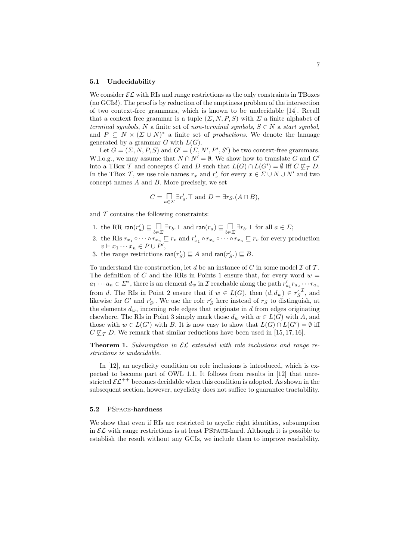#### 5.1 Undecidability

We consider  $\mathcal{EL}$  with RIs and range restrictions as the only constraints in TBoxes (no GCIs!). The proof is by reduction of the emptiness problem of the intersection of two context-free grammars, which is known to be undecidable [14]. Recall that a context free grammar is a tuple  $(\Sigma, N, P, S)$  with  $\Sigma$  a finite alphabet of terminal symbols, N a finite set of non-terminal symbols,  $S \in N$  a start symbol, and  $P \subseteq N \times (\Sigma \cup N)^*$  a finite set of *productions*. We denote the lanuage generated by a grammar  $G$  with  $L(G)$ .

Let  $G = (\Sigma, N, P, S)$  and  $G' = (\Sigma, N', P', S')$  be two context-free grammars. W.l.o.g., we may assume that  $N \cap N' = \emptyset$ . We show how to translate G and G' into a TBox T and concepts C and D such that  $L(G) \cap L(G') = \emptyset$  iff  $C \not\sqsubseteq_T D$ . In the TBox T, we use role names  $r_x$  and  $r'_x$  for every  $x \in \Sigma \cup N \cup N'$  and two concept names A and B. More precisely, we set

$$
C = \prod_{a \in \Sigma} \exists r'_a. \top \text{ and } D = \exists r_S. (A \sqcap B),
$$

and  $T$  contains the following constraints:

- 1. the RR ran $(r'_a) \sqsubseteq \bigcap_{b \in \Sigma} \exists r_b \top$  and ran $(r_a) \sqsubseteq \bigcap_{b \in \Sigma} \exists r_b \top$  for all  $a \in \Sigma$ ;
- 2. the RIs  $r_{x_1} \circ \cdots \circ r_{x_n} \sqsubseteq r_v$  and  $r'_{x_1} \circ r_{x_2} \circ \cdots \circ r_{x_n} \sqsubseteq r_v$  for every production  $v \vdash x_1 \cdots x_n \in P \cup P',$
- 3. the range restrictions  $\text{ran}(r'_S) \sqsubseteq A$  and  $\text{ran}(r'_{S'}) \sqsubseteq B$ .

To understand the construction, let  $d$  be an instance of  $C$  in some model  $\mathcal I$  of  $\mathcal T$ . The definition of C and the RRs in Points 1 ensure that, for every word  $w =$  $a_1 \cdots a_n \in \Sigma^*$ , there is an element  $d_w$  in  $\mathcal I$  reachable along the path  $r'_{a_1} r_{a_2} \cdots r_{a_n}$ from d. The RIs in Point 2 ensure that if  $w \in L(G)$ , then  $(d, d_w) \in r_S^{\prime}$ , and likewise for  $G'$  and  $r'_{S'}$ . We use the role  $r'_{S}$  here instead of  $r_{S}$  to distinguish, at the elements  $d_w$ , incoming role edges that originate in d from edges originating elsewhere. The RIs in Point 3 simply mark those  $d_w$  with  $w \in L(G)$  with A, and those with  $w \in L(G')$  with B. It is now easy to show that  $L(G) \cap L(G') = \emptyset$  iff  $C \nsubseteq_{\mathcal{T}} D$ . We remark that similar reductions have been used in [15, 17, 16].

**Theorem 1.** Subsumption in  $\mathcal{EL}$  extended with role inclusions and range restrictions is undecidable.

In [12], an acyclicity condition on role inclusions is introduced, which is expected to become part of OWL 1.1. It follows from results in [12] that unrestricted  $\mathcal{EL}^{++}$  becomes decidable when this condition is adopted. As shown in the subsequent section, however, acyclicity does not suffice to guarantee tractability.

#### 5.2 PSpace-hardness

We show that even if RIs are restricted to acyclic right identities, subsumption in  $\mathcal{EL}$  with range restrictions is at least PSPACE-hard. Although it is possible to establish the result without any GCIs, we include them to improve readability.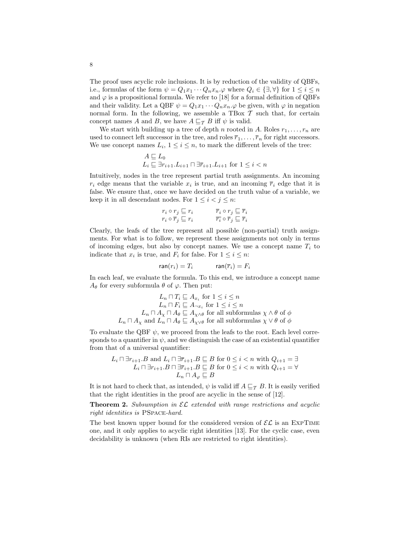The proof uses acyclic role inclusions. It is by reduction of the validity of QBFs, i.e., formulas of the form  $\psi = Q_1 x_1 \cdots Q_n x_n \varphi$  where  $Q_i \in \{\exists, \forall\}$  for  $1 \leq i \leq n$ and  $\varphi$  is a propositional formula. We refer to [18] for a formal definition of QBFs and their validity. Let a QBF  $\psi = Q_1 x_1 \cdots Q_n x_n$ . $\varphi$  be given, with  $\varphi$  in negation normal form. In the following, we assemble a TBox  $\mathcal T$  such that, for certain concept names A and B, we have  $A \sqsubseteq_{\mathcal{T}} B$  iff  $\psi$  is valid.

We start with building up a tree of depth n rooted in A. Roles  $r_1, \ldots, r_n$  are used to connect left successor in the tree, and roles  $\overline{r}_1, \ldots, \overline{r}_n$  for right successors. We use concept names  $L_i$ ,  $1 \leq i \leq n$ , to mark the different levels of the tree:

$$
\begin{array}{l} A \sqsubseteq L_0 \\ L_i \sqsubseteq \exists r_{i+1}.L_{i+1} \sqcap \exists \overline{r}_{i+1}.L_{i+1} \text{ for } 1 \leq i < n \end{array}
$$

Intuitively, nodes in the tree represent partial truth assignments. An incoming  $r_i$  edge means that the variable  $x_i$  is true, and an incoming  $\overline{r}_i$  edge that it is false. We ensure that, once we have decided on the truth value of a variable, we keep it in all descendant nodes. For  $1 \leq i < j \leq n$ :

$$
r_i \circ r_j \sqsubseteq r_i \qquad \qquad \overline{r}_i \circ r_j \sqsubseteq \overline{r}_i
$$
  
\n
$$
r_i \circ \overline{r}_j \sqsubseteq r_i \qquad \qquad \overline{r}_i \circ \overline{r}_j \sqsubseteq \overline{r}_i
$$

Clearly, the leafs of the tree represent all possible (non-partial) truth assignments. For what is to follow, we represent these assignments not only in terms of incoming edges, but also by concept names. We use a concept name  $T_i$  to indicate that  $x_i$  is true, and  $F_i$  for false. For  $1 \leq i \leq n$ :

$$
\mathsf{ran}(r_i) = T_i \qquad \qquad \mathsf{ran}(\overline{r}_i) = F_i
$$

In each leaf, we evaluate the formula. To this end, we introduce a concept name  $A_{\theta}$  for every subformula  $\theta$  of  $\varphi$ . Then put:

$$
L_n \sqcap T_i \sqsubseteq A_{x_i} \text{ for } 1 \leq i \leq n
$$
  
\n
$$
L_n \sqcap F_i \sqsubseteq A_{\neg x_i} \text{ for } 1 \leq i \leq n
$$
  
\n
$$
L_n \sqcap A_{\chi} \sqcap A_{\theta} \sqsubseteq A_{\chi \wedge \theta} \text{ for all subformulas } \chi \wedge \theta \text{ of } \phi
$$
  
\n
$$
L_n \sqcap A_{\chi} \text{ and } L_n \sqcap A_{\theta} \sqsubseteq A_{\chi \vee \theta} \text{ for all subformulas } \chi \vee \theta \text{ of } \phi
$$

To evaluate the OBF  $\psi$ , we proceed from the leafs to the root. Each level corresponds to a quantifier in  $\psi$ , and we distinguish the case of an existential quantifier from that of a universal quantifier:

$$
L_i \sqcap \exists r_{i+1}.B \text{ and } L_i \sqcap \exists \overline{r}_{i+1}.B \sqsubseteq B \text{ for } 0 \le i < n \text{ with } Q_{i+1} = \exists
$$
  

$$
L_i \sqcap \exists r_{i+1}.B \sqcap \exists \overline{r}_{i+1}.B \sqsubseteq B \text{ for } 0 \le i < n \text{ with } Q_{i+1} = \forall
$$
  

$$
L_n \sqcap A_\varphi \sqsubseteq B
$$

It is not hard to check that, as intended,  $\psi$  is valid iff  $A \sqsubseteq_{\mathcal{T}} B$ . It is easily verified that the right identities in the proof are acyclic in the sense of [12].

**Theorem 2.** Subsumption in  $\mathcal{EL}$  extended with range restrictions and acyclic right identities is PSpace-hard.

The best known upper bound for the considered version of  $\mathcal{EL}$  is an EXPTIME one, and it only applies to acyclic right identities [13]. For the cyclic case, even decidability is unknown (when RIs are restricted to right identities).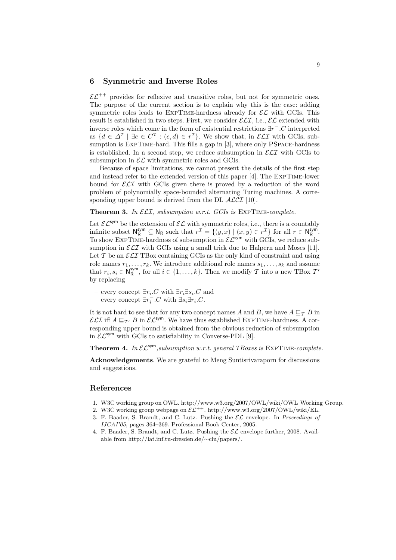## 6 Symmetric and Inverse Roles

 $\mathcal{EL}^{++}$  provides for reflexive and transitive roles, but not for symmetric ones. The purpose of the current section is to explain why this is the case: adding symmetric roles leads to EXPTIME-hardness already for  $\mathcal{EL}$  with GCIs. This result is established in two steps. First, we consider  $\mathcal{ELI}$ , i.e.,  $\mathcal{EL}$  extended with inverse roles which come in the form of existential restrictions  $\exists r^- . C$  interpreted as  $\{d \in \Delta^{\mathcal{I}} \mid \exists e \in C^{\mathcal{I}} : (e, d) \in r^{\mathcal{I}}\}$ . We show that, in  $\mathcal{ELI}$  with GCIs, subsumption is EXPTIME-hard. This fills a gap in [3], where only PSPACE-hardness is established. In a second step, we reduce subsumption in  $\mathcal{ELI}$  with GCIs to subsumption in  $\mathcal{EL}$  with symmetric roles and GCIs.

Because of space limitations, we cannot present the details of the first step and instead refer to the extended version of this paper [4]. The ExpTime-lower bound for  $\mathcal{ELI}$  with GCIs given there is proved by a reduction of the word problem of polynomially space-bounded alternating Turing machines. A corresponding upper bound is derived from the DL  $ALCI$  [10].

**Theorem 3.** In  $\mathcal{ELI}$ , subsumption w.r.t. GCIs is  $\text{EXPTIME-complete.}$ 

Let  $\mathcal{EL}^{\mathsf{sym}}$  be the extension of  $\mathcal{EL}$  with symmetric roles, i.e., there is a countably infinite subset  $\mathsf{N}_{\mathsf{R}}^{\mathsf{sym}} \subseteq \mathsf{N}_{\mathsf{R}}$  such that  $r^{\mathcal{I}} = \{(y,x) \mid (x,y) \in r^{\mathcal{I}}\}$  for all  $r \in \mathsf{N}_{\mathsf{R}}^{\mathsf{sym}}$ . To show EXPTIME-hardness of subsumption in  $\mathcal{EL}^{sym}$  with GCIs, we reduce subsumption in  $\mathcal{ELI}$  with GCIs using a small trick due to Halpern and Moses [11]. Let  $\mathcal T$  be an  $\mathcal E\mathcal L\mathcal I$  TBox containing GCIs as the only kind of constraint and using role names  $r_1, \ldots, r_k$ . We introduce additional role names  $s_1, \ldots, s_k$  and assume that  $r_i, s_i \in \mathsf{N}_\mathsf{R}^{\mathsf{sym}},$  for all  $i \in \{1, \ldots, k\}$ . Then we modify  $\mathcal T$  into a new TBox  $\mathcal T'$ by replacing

- every concept  $\exists r_i.C$  with  $\exists r_i \exists s_i.C$  and
- every concept  $\exists r_i^- . C$  with  $\exists s_i \exists r_i . C$ .

It is not hard to see that for any two concept names A and B, we have  $A \sqsubseteq_{\mathcal{T}} B$  in  $\mathcal{ELI}$  iff  $A \sqsubseteq_{\mathcal{T'}} B$  in  $\mathcal{EL}^{sym}$ . We have thus established EXPTIME-hardness. A corresponding upper bound is obtained from the obvious reduction of subsumption in  $\mathcal{EL}^{sym}$  with GCIs to satisfiability in Converse-PDL [9].

**Theorem 4.** In  $\mathcal{EL}^{sym}$ , subsumption w.r.t. general TBoxes is EXPTIME-complete.

Acknowledgements. We are grateful to Meng Suntisrivaraporn for discussions and suggestions.

## References

- 1. W3C working group on OWL. http://www.w3.org/2007/OWL/wiki/OWL Working Group.
- 2. W3C working group webpage on  $\mathcal{EL}^{++}$ . http://www.w3.org/2007/OWL/wiki/EL.
- 3. F. Baader, S. Brandt, and C. Lutz. Pushing the  $\mathcal{EL}$  envelope. In *Proceedings of* IJCAI'05, pages 364–369. Professional Book Center, 2005.
- 4. F. Baader, S. Brandt, and C. Lutz. Pushing the  $\mathcal{EL}$  envelope further, 2008. Available from http://lat.inf.tu-dresden.de/∼clu/papers/.